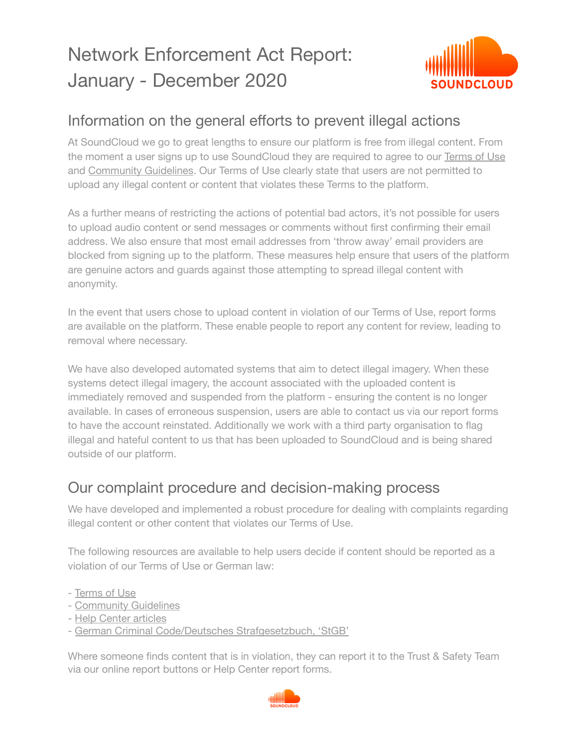# Network Enforcement Act Report: January - December 2020



### Information on the general efforts to prevent illegal actions

At SoundCloud we go to great lengths to ensure our platform is free from illegal content. From the moment a user signs up to use SoundCloud they are required to agree to our [Terms](https://soundcloud.com/terms-of-use) of Use and [Community](https://soundcloud.com/community-guidelines) Guidelines. Our Terms of Use clearly state that users are not permitted to upload any illegal content or content that violates these Terms to the platform.

As a further means of restricting the actions of potential bad actors, it's not possible for users to upload audio content or send messages or comments without first confirming their email address. We also ensure that most email addresses from 'throw away' email providers are blocked from signing up to the platform. These measures help ensure that users of the platform are genuine actors and guards against those attempting to spread illegal content with anonymity.

In the event that users chose to upload content in violation of our Terms of Use, report forms are available on the platform. These enable people to report any content for review, leading to removal where necessary.

We have also developed automated systems that aim to detect illegal imagery. When these systems detect illegal imagery, the account associated with the uploaded content is immediately removed and suspended from the platform - ensuring the content is no longer available. In cases of erroneous suspension, users are able to contact us via our report forms to have the account reinstated. Additionally we work with a third party organisation to flag illegal and hateful content to us that has been uploaded to SoundCloud and is being shared outside of our platform.

#### Our complaint procedure and decision-making process

We have developed and implemented a robust procedure for dealing with complaints regarding illegal content or other content that violates our Terms of Use.

The following resources are available to help users decide if content should be reported as a violation of our Terms of Use or German law:

- [Terms](https://soundcloud.com/terms-of-use) of Use
- [Community](https://soundcloud.com/community-guidelines) Guidelines
- Help Center [articles](https://help.soundcloud.com/hc/en-us/articles/115003449867-Content-policies)
- German Criminal Code/Deutsches [Strafgesetzbuch,](https://www.gesetze-im-internet.de/englisch_stgb/index.html) 'StGB'

Where someone finds content that is in violation, they can report it to the Trust & Safety Team via our online report buttons or Help Center report forms.

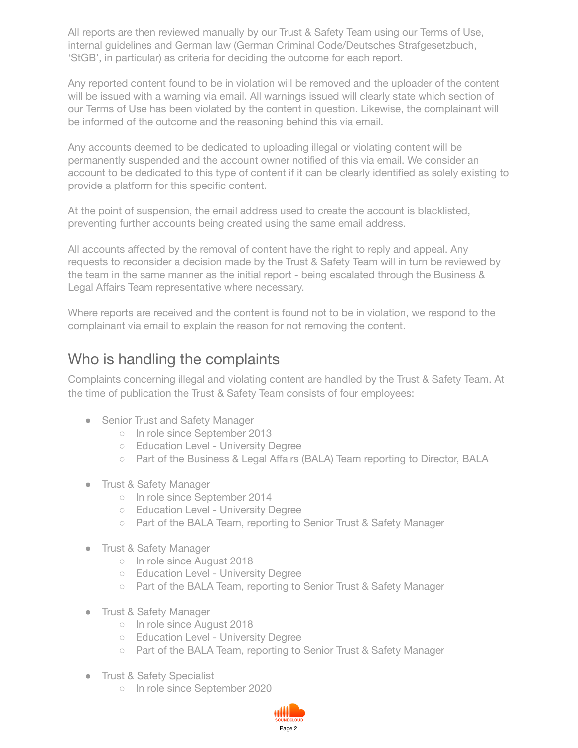All reports are then reviewed manually by our Trust & Safety Team using our Terms of Use, internal guidelines and German law (German Criminal Code/Deutsches Strafgesetzbuch, 'StGB', in particular) as criteria for deciding the outcome for each report.

Any reported content found to be in violation will be removed and the uploader of the content will be issued with a warning via email. All warnings issued will clearly state which section of our Terms of Use has been violated by the content in question. Likewise, the complainant will be informed of the outcome and the reasoning behind this via email.

Any accounts deemed to be dedicated to uploading illegal or violating content will be permanently suspended and the account owner notified of this via email. We consider an account to be dedicated to this type of content if it can be clearly identified as solely existing to provide a platform for this specific content.

At the point of suspension, the email address used to create the account is blacklisted, preventing further accounts being created using the same email address.

All accounts affected by the removal of content have the right to reply and appeal. Any requests to reconsider a decision made by the Trust & Safety Team will in turn be reviewed by the team in the same manner as the initial report - being escalated through the Business & Legal Affairs Team representative where necessary.

Where reports are received and the content is found not to be in violation, we respond to the complainant via email to explain the reason for not removing the content.

#### Who is handling the complaints

Complaints concerning illegal and violating content are handled by the Trust & Safety Team. At the time of publication the Trust & Safety Team consists of four employees:

- Senior Trust and Safety Manager
	- In role since September 2013
	- Education Level University Degree
	- Part of the Business & Legal Affairs (BALA) Team reporting to Director, BALA
- Trust & Safety Manager
	- o In role since September 2014
	- Education Level University Degree
	- Part of the BALA Team, reporting to Senior Trust & Safety Manager
- Trust & Safety Manager
	- In role since August 2018
	- Education Level University Degree
	- Part of the BALA Team, reporting to Senior Trust & Safety Manager
- Trust & Safety Manager
	- In role since August 2018
	- Education Level University Degree
	- Part of the BALA Team, reporting to Senior Trust & Safety Manager
- Trust & Safety Specialist
	- In role since September 2020

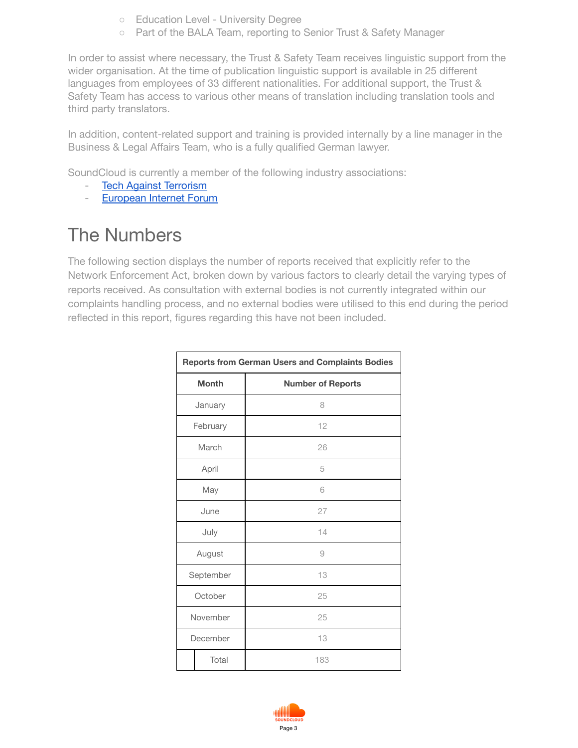- Education Level University Degree
- Part of the BALA Team, reporting to Senior Trust & Safety Manager

In order to assist where necessary, the Trust & Safety Team receives linguistic support from the wider organisation. At the time of publication linguistic support is available in 25 different languages from employees of 33 different nationalities. For additional support, the Trust & Safety Team has access to various other means of translation including translation tools and third party translators.

In addition, content-related support and training is provided internally by a line manager in the Business & Legal Affairs Team, who is a fully qualified German lawyer.

SoundCloud is currently a member of the following industry associations:

- Tech Against [Terrorism](http://www.techagainstterrorism.org/)
- [European](http://www.internetforum.eu/) Internet Forum

## The Numbers

The following section displays the number of reports received that explicitly refer to the Network Enforcement Act, broken down by various factors to clearly detail the varying types of reports received. As consultation with external bodies is not currently integrated within our complaints handling process, and no external bodies were utilised to this end during the period reflected in this report, figures regarding this have not been included.

|              | <b>Reports from German Users and Complaints Bodies</b> |
|--------------|--------------------------------------------------------|
| <b>Month</b> | <b>Number of Reports</b>                               |
| January      | 8                                                      |
| February     | 12                                                     |
| March        | 26                                                     |
| April        | 5                                                      |
| May          | 6                                                      |
| June         | 27                                                     |
| July         | 14                                                     |
| August       | 9                                                      |
| September    | 13                                                     |
| October      | 25                                                     |
| November     | 25                                                     |
| December     | 13                                                     |
| Total        | 183                                                    |

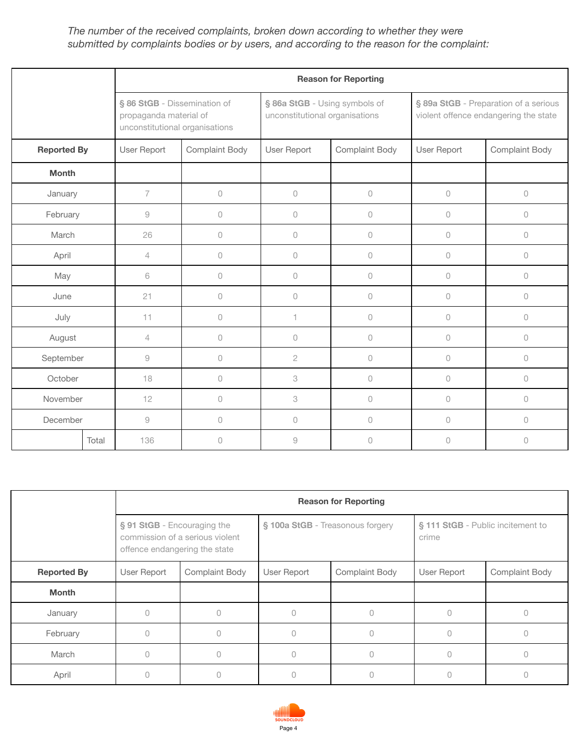#### *The number of the received complaints, broken down according to whether they were submitted by complaints bodies or by users, and according to the reason for the complaint:*

|                    |       |                |                                                                                          |                                                                 | <b>Reason for Reporting</b> |                                                                                |                |
|--------------------|-------|----------------|------------------------------------------------------------------------------------------|-----------------------------------------------------------------|-----------------------------|--------------------------------------------------------------------------------|----------------|
|                    |       |                | § 86 StGB - Dissemination of<br>propaganda material of<br>unconstitutional organisations | § 86a StGB - Using symbols of<br>unconstitutional organisations |                             | § 89a StGB - Preparation of a serious<br>violent offence endangering the state |                |
| <b>Reported By</b> |       | User Report    | Complaint Body                                                                           | User Report                                                     | Complaint Body              | User Report                                                                    | Complaint Body |
| <b>Month</b>       |       |                |                                                                                          |                                                                 |                             |                                                                                |                |
| January            |       | $\overline{7}$ | $\mathsf{O}\xspace$                                                                      | 0                                                               | $\bigcirc$                  | $\circ$                                                                        | $\mathsf{O}$   |
| February           |       | $\mathcal{G}$  | 0                                                                                        | $\circ$                                                         | $\mathsf{O}$                | $\cup$                                                                         | $\cup$         |
| March              |       | 26             | 0                                                                                        | 0                                                               | $\mathbb O$                 | $\circ$                                                                        | $\circ$        |
| April              |       | 4              | 0                                                                                        | $\circ$                                                         | $\mathbb O$                 | $\circ$                                                                        | $\circ$        |
| May                |       | 6              | 0                                                                                        | $\circ$                                                         | $\circ$                     | $\circ$                                                                        | $\cup$         |
| June               |       | 21             | 0                                                                                        | $\circ$                                                         | $\circ$                     | $\cup$                                                                         | $\cup$         |
| July               |       | 11             | 0                                                                                        | 1.                                                              | $\circ$                     | $\cup$                                                                         | $\cup$         |
| August             |       | 4              | 0                                                                                        | 0                                                               | $\mathbb O$                 | $\circ$                                                                        | $\circ$        |
| September          |       | $\mathcal{G}$  | 0                                                                                        | $\mathbf{2}$                                                    | $\mathbb O$                 | $\circ$                                                                        | $\circ$        |
| October            |       | 18             | 0                                                                                        | 3                                                               | $\mathbb O$                 | $\circ$                                                                        | $\circ$        |
| November           |       | 12             | 0                                                                                        | 3                                                               | $\mathcal O$                | $\cup$                                                                         | $\circ$        |
| December           |       | $\mathcal G$   | 0                                                                                        | 0                                                               | $\mathcal O$                | $\cup$                                                                         | $\cup$         |
|                    | Total | 136            | 0                                                                                        | 9                                                               | $\circ$                     | $\overline{0}$                                                                 | $\cup$         |

|                    | <b>Reason for Reporting</b>                                  |                                 |                                  |                       |                                            |                |  |  |  |  |
|--------------------|--------------------------------------------------------------|---------------------------------|----------------------------------|-----------------------|--------------------------------------------|----------------|--|--|--|--|
|                    | § 91 StGB - Encouraging the<br>offence endangering the state | commission of a serious violent | § 100a StGB - Treasonous forgery |                       | § 111 StGB - Public incitement to<br>crime |                |  |  |  |  |
| <b>Reported By</b> | User Report                                                  | Complaint Body                  | User Report                      | <b>Complaint Body</b> | User Report                                | Complaint Body |  |  |  |  |
| <b>Month</b>       |                                                              |                                 |                                  |                       |                                            |                |  |  |  |  |
| January            | $\bigcap$                                                    |                                 |                                  | $\bigcap$             | $\bigcap$                                  |                |  |  |  |  |
| February           | $\bigcap$                                                    |                                 |                                  | $\Omega$              | $\bigcap$                                  |                |  |  |  |  |
| March              | $\bigcap$                                                    |                                 |                                  | $\Omega$              | $\bigcap$                                  |                |  |  |  |  |
| April              |                                                              |                                 |                                  | 0                     | $\bigcap$                                  |                |  |  |  |  |

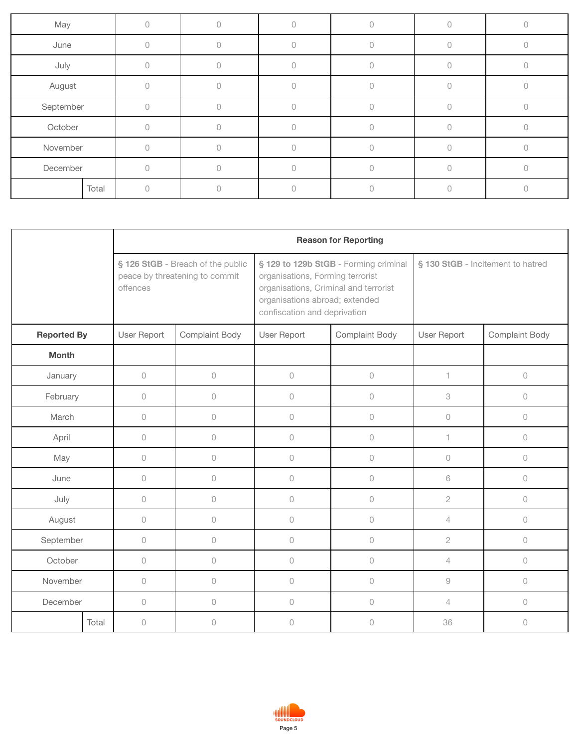| May       |       |        |  |  |  |
|-----------|-------|--------|--|--|--|
| June      |       |        |  |  |  |
| July      |       |        |  |  |  |
| August    |       |        |  |  |  |
| September |       |        |  |  |  |
| October   |       | $\cap$ |  |  |  |
| November  |       |        |  |  |  |
| December  |       |        |  |  |  |
|           | Total |        |  |  |  |

|                    |       |             | <b>Reason for Reporting</b>                                         |                                                                                                                                             |                                       |                                   |                     |  |  |  |  |
|--------------------|-------|-------------|---------------------------------------------------------------------|---------------------------------------------------------------------------------------------------------------------------------------------|---------------------------------------|-----------------------------------|---------------------|--|--|--|--|
|                    |       | offences    | § 126 StGB - Breach of the public<br>peace by threatening to commit | organisations, Forming terrorist<br>organisations, Criminal and terrorist<br>organisations abroad; extended<br>confiscation and deprivation | § 129 to 129b StGB - Forming criminal | § 130 StGB - Incitement to hatred |                     |  |  |  |  |
| <b>Reported By</b> |       | User Report | Complaint Body                                                      | User Report                                                                                                                                 | Complaint Body                        | User Report                       | Complaint Body      |  |  |  |  |
| <b>Month</b>       |       |             |                                                                     |                                                                                                                                             |                                       |                                   |                     |  |  |  |  |
| January            |       | $\cup$      | $\bigcirc$                                                          | $\circ$                                                                                                                                     | $\bigcirc$                            | $\mathbf{1}$                      | $\bigcirc$          |  |  |  |  |
| February           |       | $\circ$     | $\circ$                                                             | $\circ$                                                                                                                                     | $\bigcirc$                            | 3                                 | $\circ$             |  |  |  |  |
| March              |       | $\circ$     | $\mathcal O$                                                        | $\circ$                                                                                                                                     | $\bigcirc$                            | $\circ$                           | $\circlearrowright$ |  |  |  |  |
| April              |       | $\circ$     | $\mathcal O$                                                        | $\cup$                                                                                                                                      | $\bigcirc$                            | 1                                 | $\circ$             |  |  |  |  |
| May                |       | $\circ$     | $\circ$                                                             | $\circ$                                                                                                                                     | $\circlearrowright$                   | $\circ$                           | $\circlearrowright$ |  |  |  |  |
| June               |       | $\circ$     | $\circ$                                                             | $\bigcirc$                                                                                                                                  | $\bigcirc$                            | 6                                 | $\circlearrowright$ |  |  |  |  |
| July               |       | $\circ$     | $\circ$                                                             | $\circ$                                                                                                                                     | $\bigcirc$                            | $\mathbf{2}$                      | $\circlearrowright$ |  |  |  |  |
| August             |       | $\cup$      | $\bigcirc$                                                          | $\bigcirc$                                                                                                                                  | $\bigcirc$                            | $\overline{4}$                    | $\bigcirc$          |  |  |  |  |
| September          |       | $\circ$     | $\bigcirc$                                                          | $\cup$                                                                                                                                      | $\bigcirc$                            | $\sqrt{2}$                        | $\circlearrowright$ |  |  |  |  |
| October            |       | $\circ$     | $\circ$                                                             | $\cup$                                                                                                                                      | $\circ$                               | $\overline{4}$                    | $\circ$             |  |  |  |  |
| November           |       | $\circ$     | $\circ$                                                             | $\cup$                                                                                                                                      | $\circ$                               | $\hbox{ }^{\rm 9}$                | $\circ$             |  |  |  |  |
| December           |       | $\circ$     | $\mathcal O$                                                        | $\cup$                                                                                                                                      | $\circlearrowright$                   | $\overline{4}$                    | $\cup$              |  |  |  |  |
|                    | Total | 0           | $\bigcirc$                                                          | $\bigcirc$                                                                                                                                  | $\bigcirc$                            | 36                                | $\bigcirc$          |  |  |  |  |

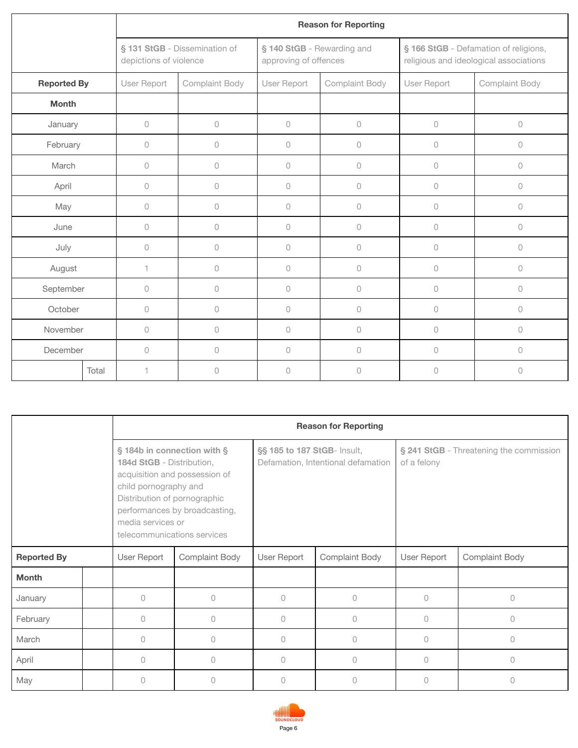|                    |       |                        |                               |             | <b>Reason for Reporting</b>                         |             |                                                                                 |
|--------------------|-------|------------------------|-------------------------------|-------------|-----------------------------------------------------|-------------|---------------------------------------------------------------------------------|
|                    |       | depictions of violence | § 131 StGB - Dissemination of |             | § 140 StGB - Rewarding and<br>approving of offences |             | § 166 StGB - Defamation of religions,<br>religious and ideological associations |
| <b>Reported By</b> |       | User Report            | Complaint Body                | User Report | Complaint Body                                      | User Report | Complaint Body                                                                  |
| <b>Month</b>       |       |                        |                               |             |                                                     |             |                                                                                 |
| January            |       | $\circ$                | 0                             | $\circ$     | 0                                                   | $\circ$     | $\bigcirc$                                                                      |
| February           |       | $\circ$                | $\cup$                        | $\circ$     | 0                                                   | $\cup$      | $\bigcirc$                                                                      |
| March              |       | $\circ$                | $\cup$                        | $\cup$      | $\circ$                                             | $\cup$      | $\circ$                                                                         |
| April              |       | $\circ$                | $\Omega$                      | $\circ$     | 0                                                   | $\cup$      | $\circ$                                                                         |
| May                |       | $\circ$                | 0                             | $\circ$     | 0                                                   | $\circ$     | $\bigcirc$                                                                      |
| June               |       | $\circ$                | 0                             | $\circ$     | 0                                                   | $\circ$     | $\bigcirc$                                                                      |
| July               |       | 0                      | $\circ$                       | $\circ$     | 0                                                   | $\cup$      | $\bigcirc$                                                                      |
| August             |       | 1                      | $\circ$                       | $\circ$     | $\circ$                                             | $\circ$     | $\bigcirc$                                                                      |
| September          |       | $\mathbb O$            | 0                             | $\circ$     | 0                                                   | $\circ$     | $\bigcirc$                                                                      |
| October            |       | $\circ$                | $\cup$                        | $\cup$      | $\circ$                                             | $\circ$     | $\circ$                                                                         |
| November           |       | $\circ$                | $\cup$                        | $\circ$     | $\circ$                                             | $\cup$      | $\circ$                                                                         |
| December           |       | $\circ$                | $\Omega$                      | $\circ$     | 0                                                   | $\cup$      | $\circ$                                                                         |
|                    | Total | 1                      | $\cup$                        | $\circ$     | 0                                                   | $\cup$      | $\cup$                                                                          |

|                    |  |                                                                                                                                                                       |                                                                | <b>Reason for Reporting</b> |                                    |                                                        |                |  |
|--------------------|--|-----------------------------------------------------------------------------------------------------------------------------------------------------------------------|----------------------------------------------------------------|-----------------------------|------------------------------------|--------------------------------------------------------|----------------|--|
|                    |  | § 184b in connection with §<br>184d StGB - Distribution,<br>child pornography and<br>Distribution of pornographic<br>media services or<br>telecommunications services | acquisition and possession of<br>performances by broadcasting, | §§ 185 to 187 StGB- Insult, | Defamation, Intentional defamation | § 241 StGB - Threatening the commission<br>of a felony |                |  |
| <b>Reported By</b> |  | User Report                                                                                                                                                           | <b>Complaint Body</b>                                          | User Report                 | Complaint Body                     | User Report                                            | Complaint Body |  |
| <b>Month</b>       |  |                                                                                                                                                                       |                                                                |                             |                                    |                                                        |                |  |
| January            |  | 0                                                                                                                                                                     | 0                                                              | 0                           | 0                                  | $\circ$                                                | $\bigcap$      |  |
| February           |  | 0                                                                                                                                                                     | 0                                                              | 0                           | 0                                  | $\Omega$                                               | $\bigcap$      |  |
| March              |  | $\cap$                                                                                                                                                                | $\bigcap$                                                      | $\Omega$                    | 0                                  | $\bigcap$                                              | $\bigcap$      |  |
| April              |  | $\Omega$                                                                                                                                                              | $\Omega$                                                       | $\Omega$                    | $\Omega$                           | $\Omega$                                               | $\bigcap$      |  |
| May                |  | $\Omega$                                                                                                                                                              | 0                                                              | 0                           | 0                                  | $\bigcap$                                              | $\bigcap$      |  |

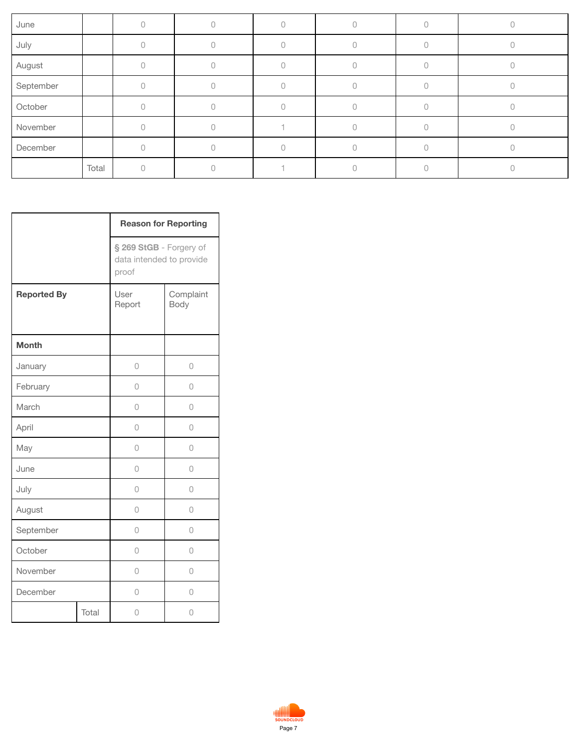| June      |       |  |  |  |
|-----------|-------|--|--|--|
| July      |       |  |  |  |
| August    |       |  |  |  |
| September |       |  |  |  |
| October   |       |  |  |  |
| November  |       |  |  |  |
| December  |       |  |  |  |
|           | Total |  |  |  |

|                    |       | <b>Reason for Reporting</b>                                  |                   |
|--------------------|-------|--------------------------------------------------------------|-------------------|
|                    |       | § 269 StGB - Forgery of<br>data intended to provide<br>proof |                   |
| <b>Reported By</b> |       | User<br>Report                                               | Complaint<br>Body |
| <b>Month</b>       |       |                                                              |                   |
| January            |       | $\overline{0}$                                               | 0                 |
| February           |       | 0                                                            | 0                 |
| March              |       | 0                                                            | 0                 |
| April              |       | 0                                                            | 0                 |
| May                |       | 0                                                            | 0                 |
| June               |       | 0                                                            | 0                 |
| July               |       | 0                                                            | 0                 |
| August             |       | 0                                                            | 0                 |
| September          |       | 0                                                            | 0                 |
| October            |       | 0                                                            | 0                 |
| November           |       | 0                                                            | 0                 |
| December           |       | 0                                                            | 0                 |
|                    | Total | 0                                                            | 0                 |

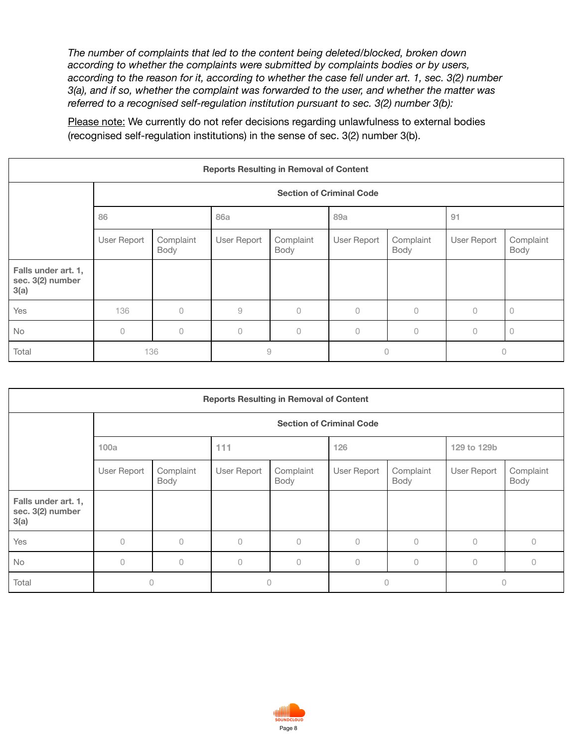*The number of complaints that led to the content being deleted/blocked, broken down according to whether the complaints were submitted by complaints bodies or by users, according to the reason for it, according to whether the case fell under art. 1, sec. 3(2) number 3(a), and if so, whether the complaint was forwarded to the user, and whether the matter was referred to a recognised self-regulation institution pursuant to sec. 3(2) number 3(b):*

Please note: We currently do not refer decisions regarding unlawfulness to external bodies (recognised self-regulation institutions) in the sense of sec. 3(2) number 3(b).

| <b>Reports Resulting in Removal of Content</b>  |             |                                 |               |                   |             |                   |             |                   |  |  |  |
|-------------------------------------------------|-------------|---------------------------------|---------------|-------------------|-------------|-------------------|-------------|-------------------|--|--|--|
|                                                 |             | <b>Section of Criminal Code</b> |               |                   |             |                   |             |                   |  |  |  |
|                                                 | 86          |                                 | <b>86a</b>    |                   | 89a         |                   | 91          |                   |  |  |  |
|                                                 | User Report | Complaint<br>Body               | User Report   | Complaint<br>Body | User Report | Complaint<br>Body | User Report | Complaint<br>Body |  |  |  |
| Falls under art. 1,<br>sec. 3(2) number<br>3(a) |             |                                 |               |                   |             |                   |             |                   |  |  |  |
| Yes                                             | 136         | $\bigcap$                       | $\mathcal{G}$ | $\Omega$          | $\Omega$    | 0                 | O           | $\circ$           |  |  |  |
| <b>No</b>                                       | $\bigcap$   | $\Omega$                        | $\cup$        | 0                 | 0           | $\bigcap$         | 0           | $\circ$           |  |  |  |
| Total                                           |             | 136                             | $\hbox{9}$    |                   | 0           |                   | $\Omega$    |                   |  |  |  |

| <b>Reports Resulting in Removal of Content</b>  |             |                                 |             |                   |             |                   |             |                   |  |  |  |  |
|-------------------------------------------------|-------------|---------------------------------|-------------|-------------------|-------------|-------------------|-------------|-------------------|--|--|--|--|
|                                                 |             | <b>Section of Criminal Code</b> |             |                   |             |                   |             |                   |  |  |  |  |
|                                                 | 100a        |                                 | 111         |                   | 126         |                   | 129 to 129b |                   |  |  |  |  |
|                                                 | User Report | Complaint<br>Body               | User Report | Complaint<br>Body | User Report | Complaint<br>Body | User Report | Complaint<br>Body |  |  |  |  |
| Falls under art. 1,<br>sec. 3(2) number<br>3(a) |             |                                 |             |                   |             |                   |             |                   |  |  |  |  |
| Yes                                             | $\bigcap$   | $\Omega$                        | 0           | 0                 | $\bigcap$   | $\bigcap$         | $\Omega$    | $\Omega$          |  |  |  |  |
| No                                              | $\circ$     | $\circ$                         | 0           | 0                 | $\bigcap$   | $\Omega$          | $\Omega$    | $\Omega$          |  |  |  |  |
| Total                                           | 0           |                                 | 0           |                   | $\bigcap$   |                   | $\Omega$    |                   |  |  |  |  |

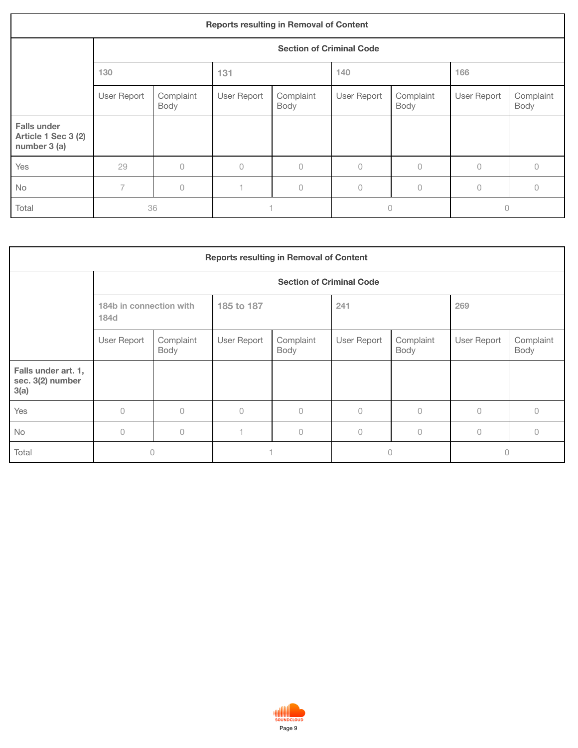| <b>Reports resulting in Removal of Content</b>            |                |                   |             |                                 |             |                   |             |                   |  |  |  |
|-----------------------------------------------------------|----------------|-------------------|-------------|---------------------------------|-------------|-------------------|-------------|-------------------|--|--|--|
|                                                           |                |                   |             | <b>Section of Criminal Code</b> |             |                   |             |                   |  |  |  |
|                                                           | 130            |                   | 131         |                                 | 140         |                   | 166         |                   |  |  |  |
|                                                           | User Report    | Complaint<br>Body | User Report | Complaint<br>Body               | User Report | Complaint<br>Body | User Report | Complaint<br>Body |  |  |  |
| <b>Falls under</b><br>Article 1 Sec 3 (2)<br>number 3 (a) |                |                   |             |                                 |             |                   |             |                   |  |  |  |
| Yes                                                       | 29             | 0                 | $\bigcap$   | $\cup$                          | $\cup$      | $\bigcap$         | $\bigcap$   | Ω                 |  |  |  |
| No                                                        | $\overline{7}$ | $\Omega$          |             | 0                               | $\Omega$    | $\circ$           | $\circ$     | 0                 |  |  |  |
| Total                                                     |                | 36                |             |                                 | $\Omega$    |                   | 0           |                   |  |  |  |

| <b>Reports resulting in Removal of Content</b>  |                                 |                                 |             |                   |             |                   |             |                   |  |  |  |
|-------------------------------------------------|---------------------------------|---------------------------------|-------------|-------------------|-------------|-------------------|-------------|-------------------|--|--|--|
|                                                 |                                 | <b>Section of Criminal Code</b> |             |                   |             |                   |             |                   |  |  |  |
|                                                 | 184b in connection with<br>184d |                                 | 185 to 187  |                   | 241         |                   | 269         |                   |  |  |  |
|                                                 | User Report                     | Complaint<br>Body               | User Report | Complaint<br>Body | User Report | Complaint<br>Body | User Report | Complaint<br>Body |  |  |  |
| Falls under art. 1,<br>sec. 3(2) number<br>3(a) |                                 |                                 |             |                   |             |                   |             |                   |  |  |  |
| Yes                                             | $\bigcap$                       | $\bigcap$                       | $\bigcap$   | $\bigcap$         | $\circ$     | $\circ$           | $\circ$     | Λ                 |  |  |  |
| <b>No</b>                                       | $\bigcap$                       | $\bigcap$                       |             | $\bigcap$         | $\bigcap$   | $\bigcap$         | $\bigcap$   |                   |  |  |  |
| Total                                           |                                 | 0                               |             |                   | 0           |                   | 0           |                   |  |  |  |

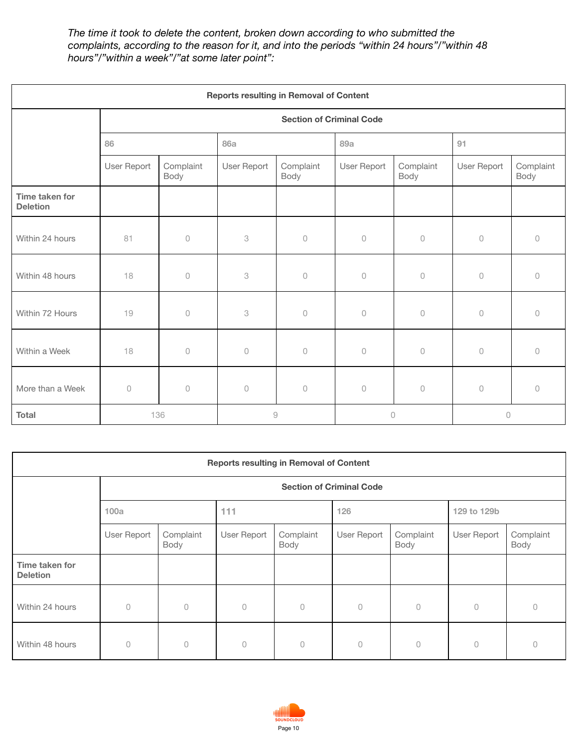*The time it took to delete the content, broken down according to who submitted the complaints, according to the reason for it, and into the periods "within 24 hours"/"within 48 hours"/"within a week"/"at some later point":*

| <b>Reports resulting in Removal of Content</b> |                     |                                 |               |                   |             |                   |             |                   |  |  |
|------------------------------------------------|---------------------|---------------------------------|---------------|-------------------|-------------|-------------------|-------------|-------------------|--|--|
|                                                |                     | <b>Section of Criminal Code</b> |               |                   |             |                   |             |                   |  |  |
|                                                | 86                  |                                 | <b>86a</b>    |                   | 89a         |                   | 91          |                   |  |  |
|                                                | User Report         | Complaint<br>Body               | User Report   | Complaint<br>Body | User Report | Complaint<br>Body | User Report | Complaint<br>Body |  |  |
| Time taken for<br><b>Deletion</b>              |                     |                                 |               |                   |             |                   |             |                   |  |  |
| Within 24 hours                                | 81                  | $\circ$                         | 3             | $\circ$           | $\circ$     | $\circ$           | $\circ$     | $\theta$          |  |  |
| Within 48 hours                                | 18                  | $\circ$                         | 3             | $\circ$           | $\circ$     | $\circ$           | $\Omega$    | $\Omega$          |  |  |
| Within 72 Hours                                | 19                  | $\circ$                         | 3             | $\circ$           | $\circ$     | $\circ$           | $\circ$     | $\bigcap$         |  |  |
| Within a Week                                  | 18                  | $\bigcirc$                      | $\mathbb O$   | $\circ$           | $\bigcirc$  | $\circ$           | $\cup$      | $\cup$            |  |  |
| More than a Week                               | $\circlearrowright$ | $\bigcirc$                      | $\mathbb O$   | $\circ$           | $\circ$     | $\bigcirc$        | $\circ$     | $\Omega$          |  |  |
| <b>Total</b>                                   | 136                 |                                 | $\mathcal{G}$ |                   | $\cup$      |                   | $\circ$     |                   |  |  |

| <b>Reports resulting in Removal of Content</b> |                                 |                   |             |                   |             |                   |             |                   |  |  |
|------------------------------------------------|---------------------------------|-------------------|-------------|-------------------|-------------|-------------------|-------------|-------------------|--|--|
|                                                | <b>Section of Criminal Code</b> |                   |             |                   |             |                   |             |                   |  |  |
|                                                | 100a                            |                   | 111         |                   | 126         |                   | 129 to 129b |                   |  |  |
|                                                | User Report                     | Complaint<br>Body | User Report | Complaint<br>Body | User Report | Complaint<br>Body | User Report | Complaint<br>Body |  |  |
| Time taken for<br><b>Deletion</b>              |                                 |                   |             |                   |             |                   |             |                   |  |  |
| Within 24 hours                                | $\Omega$                        | 0                 | $\cup$      | 0                 | $\circ$     | $\circ$           | $\circ$     | 0                 |  |  |
| Within 48 hours                                | $\Omega$                        | $\cup$            | $\cup$      | 0                 | $\Omega$    | $\cup$            | $\circ$     | 0                 |  |  |

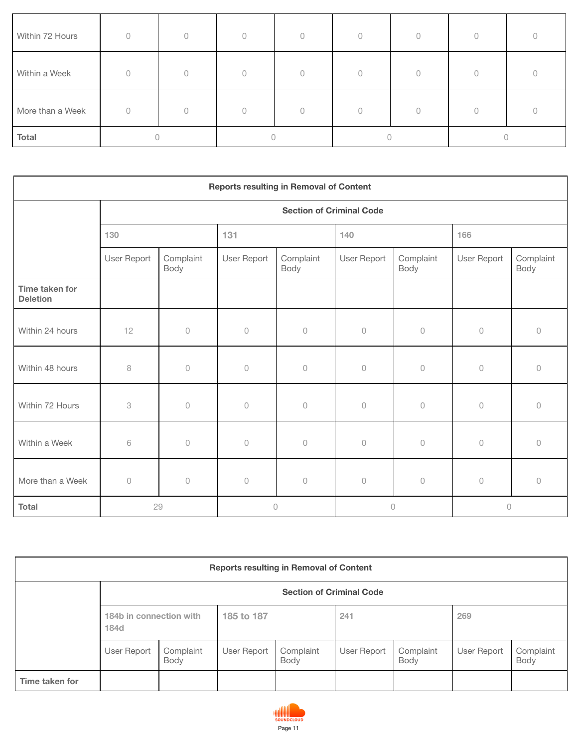| Within 72 Hours  | $\Omega$ | $\bigcap$ | $\bigcap$ |  |  |  |  |  |
|------------------|----------|-----------|-----------|--|--|--|--|--|
| Within a Week    | O        |           | $\cap$    |  |  |  |  |  |
| More than a Week |          | 0         |           |  |  |  |  |  |
| Total            |          |           |           |  |  |  |  |  |

| <b>Reports resulting in Removal of Content</b> |                                 |                     |                     |                   |                     |                     |             |                   |  |  |
|------------------------------------------------|---------------------------------|---------------------|---------------------|-------------------|---------------------|---------------------|-------------|-------------------|--|--|
|                                                | <b>Section of Criminal Code</b> |                     |                     |                   |                     |                     |             |                   |  |  |
|                                                | 130                             |                     | 131                 |                   | 140                 |                     | 166         |                   |  |  |
|                                                | User Report                     | Complaint<br>Body   | User Report         | Complaint<br>Body | User Report         | Complaint<br>Body   | User Report | Complaint<br>Body |  |  |
| Time taken for<br><b>Deletion</b>              |                                 |                     |                     |                   |                     |                     |             |                   |  |  |
| Within 24 hours                                | 12                              | $\circlearrowright$ | $\circ$             | $\circ$           | $\circ$             | $\circ$             | $\cup$      | $\circ$           |  |  |
| Within 48 hours                                | 8                               | $\Omega$            | $\Omega$            | $\circ$           | $\circlearrowright$ | $\circ$             | $\circ$     | $\circ$           |  |  |
| Within 72 Hours                                | 3                               | $\circlearrowright$ | $\circlearrowright$ | $\circ$           | $\circlearrowright$ | $\circlearrowright$ | $\bigcirc$  | $\circ$           |  |  |
| Within a Week                                  | 6                               | $\cup$              | $\cup$              | $\cup$            | $\circlearrowright$ | $\circ$             | $\cup$      | $\Omega$          |  |  |
| More than a Week                               | $\circ$                         | $\circlearrowright$ | $\circ$             | $\circ$           | $\circlearrowright$ | $\circlearrowright$ | $\bigcirc$  | $\bigcap$         |  |  |
| <b>Total</b>                                   |                                 | 29                  |                     | $\circ$           |                     | $\circ$             | $\circ$     |                   |  |  |

| <b>Reports resulting in Removal of Content</b> |                                 |                   |             |                   |             |                   |             |                   |  |  |
|------------------------------------------------|---------------------------------|-------------------|-------------|-------------------|-------------|-------------------|-------------|-------------------|--|--|
|                                                | <b>Section of Criminal Code</b> |                   |             |                   |             |                   |             |                   |  |  |
|                                                | 184b in connection with<br>184d |                   | 185 to 187  |                   | 241         |                   | 269         |                   |  |  |
|                                                | User Report                     | Complaint<br>Body | User Report | Complaint<br>Body | User Report | Complaint<br>Body | User Report | Complaint<br>Body |  |  |
| Time taken for                                 |                                 |                   |             |                   |             |                   |             |                   |  |  |